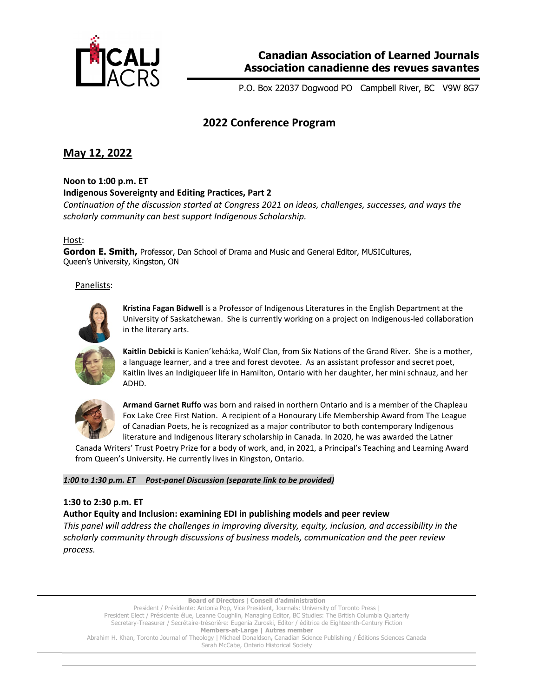

P.O. Box 22037 Dogwood PO Campbell River, BC V9W 8G7

# **2022 Conference Program**

# **May 12, 2022**

**Noon to 1:00 p.m. ET**

**Indigenous Sovereignty and Editing Practices, Part 2**

*Continuation of the discussion started at Congress 2021 on ideas, challenges, successes, and ways the scholarly community can best support Indigenous Scholarship.* 

## Host:

**Gordon E. Smith,** Professor, Dan School of Drama and Music and General Editor, MUSICultures, Queen's University, Kingston, ON

Panelists:



**Kristina Fagan Bidwell** is a Professor of Indigenous Literatures in the English Department at the University of Saskatchewan. She is currently working on a project on Indigenous-led collaboration in the literary arts.



**Kaitlin Debicki** is Kanien'kehá:ka, Wolf Clan, from Six Nations of the Grand River. She is a mother, a language learner, and a tree and forest devotee. As an assistant professor and secret poet, Kaitlin lives an Indigiqueer life in Hamilton, Ontario with her daughter, her mini schnauz, and her ADHD.



**Armand Garnet Ruffo** was born and raised in northern Ontario and is a member of the Chapleau Fox Lake Cree First Nation. A recipient of a Honourary Life Membership Award from The League of Canadian Poets, he is recognized as a major contributor to both contemporary Indigenous literature and Indigenous literary scholarship in Canada. In 2020, he was awarded the Latner

Canada Writers' Trust Poetry Prize for a body of work, and, in 2021, a Principal's Teaching and Learning Award from Queen's University. He currently lives in Kingston, Ontario.

*1:00 to 1:30 p.m. ET Post-panel Discussion (separate link to be provided)*

## **1:30 to 2:30 p.m. ET**

**Author Equity and Inclusion: examining EDI in publishing models and peer review**

*This panel will address the challenges in improving diversity, equity, inclusion, and accessibility in the scholarly community through discussions of business models, communication and the peer review process.* 

**Board of Directors** | **Conseil d'administration**  President / Présidente: Antonia Pop, Vice President, Journals: University of Toronto Press | President Elect / Présidente élue, Leanne Coughlin, Managing Editor, BC Studies: The British Columbia Quarterly Secretary-Treasurer / Secrétaire-trésorière: Eugenia Zuroski, Editor / éditrice de Eighteenth-Century Fiction **Members-at-Large | Autres member**  Abrahim H. Khan, Toronto Journal of Theology | Michael Donaldson**,** Canadian Science Publishing / Éditions Sciences Canada Sarah McCabe, Ontario Historical Society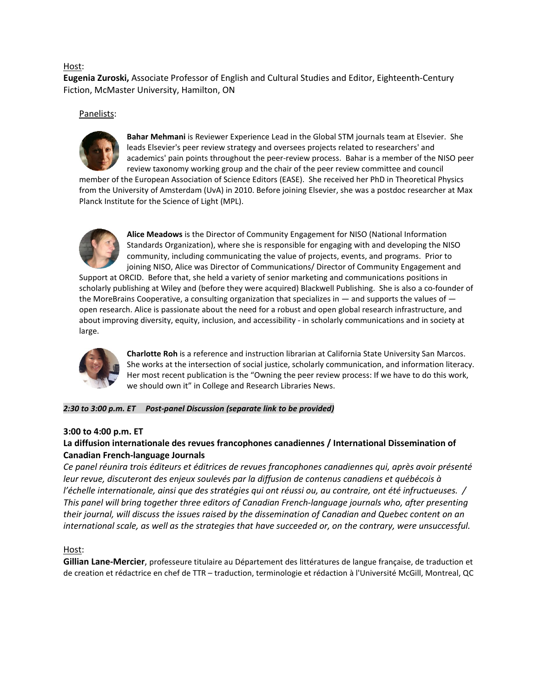### Host:

**Eugenia Zuroski,** Associate Professor of English and Cultural Studies and Editor, Eighteenth-Century Fiction, McMaster University, Hamilton, ON

#### Panelists:



**Bahar Mehmani** is Reviewer Experience Lead in the Global STM journals team at Elsevier. She leads Elsevier's peer review strategy and oversees projects related to researchers' and academics' pain points throughout the peer-review process. Bahar is a member of the NISO peer review taxonomy working group and the chair of the peer review committee and council

member of the European Association of Science Editors (EASE). She received her PhD in Theoretical Physics from the University of Amsterdam (UvA) in 2010. Before joining Elsevier, she was a postdoc researcher at Max Planck Institute for the Science of Light (MPL).



**Alice Meadows** is the Director of Community Engagement for NISO (National Information Standards Organization), where she is responsible for engaging with and developing the NISO community, including communicating the value of projects, events, and programs. Prior to joining NISO, Alice was Director of Communications/ Director of Community Engagement and

Support at ORCID. Before that, she held a variety of senior marketing and communications positions in scholarly publishing at Wiley and (before they were acquired) Blackwell Publishing. She is also a co-founder of the MoreBrains Cooperative, a consulting organization that specializes in  $-$  and supports the values of  $$ open research. Alice is passionate about the need for a robust and open global research infrastructure, and about improving diversity, equity, inclusion, and accessibility - in scholarly communications and in society at large.



**Charlotte Roh** is a reference and instruction librarian at California State University San Marcos. She works at the intersection of social justice, scholarly communication, and information literacy. Her most recent publication is the "Owning the peer review process: If we have to do this work, we should own it" in College and Research Libraries News.

## *2:30 to 3:00 p.m. ET Post-panel Discussion (separate link to be provided)*

#### **3:00 to 4:00 p.m. ET**

## **La diffusion internationale des revues francophones canadiennes / International Dissemination of Canadian French-language Journals**

*Ce panel réunira trois éditeurs et éditrices de revues francophones canadiennes qui, après avoir présenté leur revue, discuteront des enjeux soulevés par la diffusion de contenus canadiens et québécois à l'échelle internationale, ainsi que des stratégies qui ont réussi ou, au contraire, ont été infructueuses. / This panel will bring together three editors of Canadian French-language journals who, after presenting their journal, will discuss the issues raised by the dissemination of Canadian and Quebec content on an international scale, as well as the strategies that have succeeded or, on the contrary, were unsuccessful.*

## Host:

**Gillian Lane-Mercier**, professeure titulaire au Département des littératures de langue française, de traduction et de creation et rédactrice en chef de TTR – traduction, terminologie et rédaction à l'Université McGill, Montreal, QC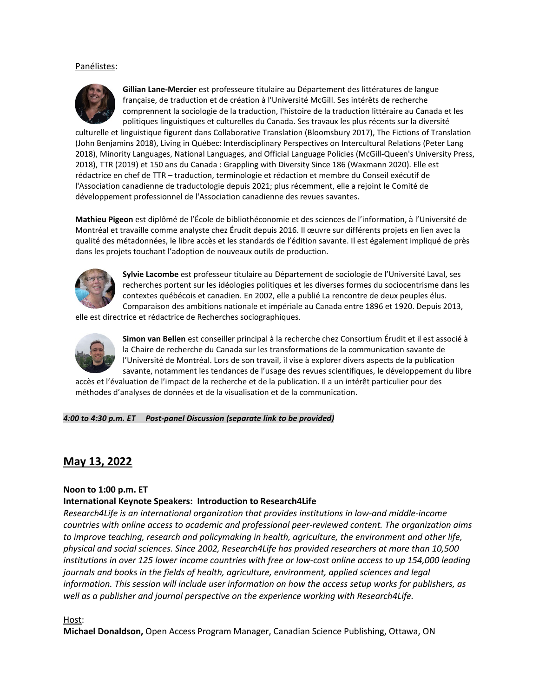#### Panélistes:



**Gillian Lane-Mercier** est professeure titulaire au Département des littératures de langue française, de traduction et de création à l'Université McGill. Ses intérêts de recherche comprennent la sociologie de la traduction, l'histoire de la traduction littéraire au Canada et les politiques linguistiques et culturelles du Canada. Ses travaux les plus récents sur la diversité

culturelle et linguistique figurent dans Collaborative Translation (Bloomsbury 2017), The Fictions of Translation (John Benjamins 2018), Living in Québec: Interdisciplinary Perspectives on Intercultural Relations (Peter Lang 2018), Minority Languages, National Languages, and Official Language Policies (McGill-Queen's University Press, 2018), TTR (2019) et 150 ans du Canada : Grappling with Diversity Since 186 (Waxmann 2020). Elle est rédactrice en chef de TTR – traduction, terminologie et rédaction et membre du Conseil exécutif de l'Association canadienne de traductologie depuis 2021; plus récemment, elle a rejoint le Comité de développement professionnel de l'Association canadienne des revues savantes.

**Mathieu Pigeon** est diplômé de l'École de bibliothéconomie et des sciences de l'information, à l'Université de Montréal et travaille comme analyste chez Érudit depuis 2016. Il œuvre sur différents projets en lien avec la qualité des métadonnées, le libre accès et les standards de l'édition savante. Il est également impliqué de près dans les projets touchant l'adoption de nouveaux outils de production.



**Sylvie Lacombe** est professeur titulaire au Département de sociologie de l'Université Laval, ses recherches portent sur les idéologies politiques et les diverses formes du sociocentrisme dans les contextes québécois et canadien. En 2002, elle a publié La rencontre de deux peuples élus. Comparaison des ambitions nationale et impériale au Canada entre 1896 et 1920. Depuis 2013,

elle est directrice et rédactrice de Recherches sociographiques.



**Simon van Bellen** est conseiller principal à la recherche chez Consortium Érudit et il est associé à la Chaire de recherche du Canada sur les transformations de la communication savante de l'Université de Montréal. Lors de son travail, il vise à explorer divers aspects de la publication savante, notamment les tendances de l'usage des revues scientifiques, le développement du libre

accès et l'évaluation de l'impact de la recherche et de la publication. Il a un intérêt particulier pour des méthodes d'analyses de données et de la visualisation et de la communication.

*4:00 to 4:30 p.m. ET Post-panel Discussion (separate link to be provided)*

# **May 13, 2022**

#### **Noon to 1:00 p.m. ET**

## **International Keynote Speakers: Introduction to Research4Life**

*Research4Life is an international organization that provides institutions in low-and middle-income countries with online access to academic and professional peer-reviewed content. The organization aims to improve teaching, research and policymaking in health, agriculture, the environment and other life, physical and social sciences. Since 2002, Research4Life has provided researchers at more than 10,500 institutions in over 125 lower income countries with free or low-cost online access to up 154,000 leading journals and books in the fields of health, agriculture, environment, applied sciences and legal information. This session will include user information on how the access setup works for publishers, as well as a publisher and journal perspective on the experience working with Research4Life.* 

Host:

**Michael Donaldson,** Open Access Program Manager, Canadian Science Publishing, Ottawa, ON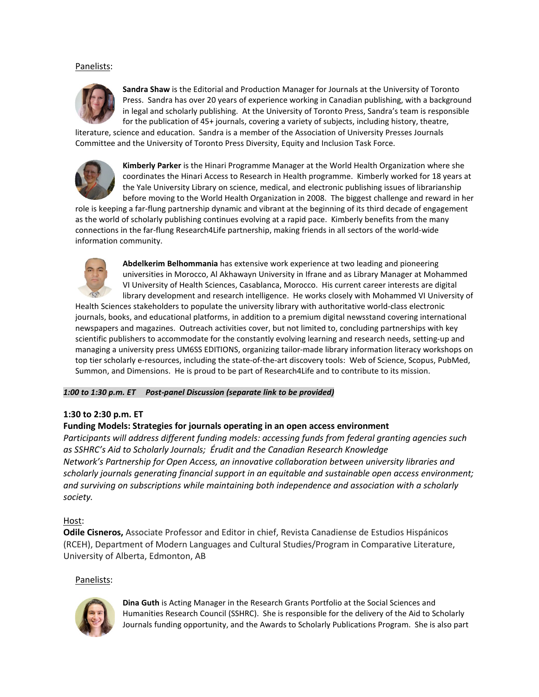### Panelists:



**Sandra Shaw** is the Editorial and Production Manager for Journals at the University of Toronto Press. Sandra has over 20 years of experience working in Canadian publishing, with a background in legal and scholarly publishing. At the University of Toronto Press, Sandra's team is responsible for the publication of 45+ journals, covering a variety of subjects, including history, theatre,

literature, science and education. Sandra is a member of the Association of University Presses Journals Committee and the University of Toronto Press Diversity, Equity and Inclusion Task Force.



**Kimberly Parker** is the Hinari Programme Manager at the World Health Organization where she coordinates the Hinari Access to Research in Health programme. Kimberly worked for 18 years at the Yale University Library on science, medical, and electronic publishing issues of librarianship before moving to the World Health Organization in 2008. The biggest challenge and reward in her

role is keeping a far-flung partnership dynamic and vibrant at the beginning of its third decade of engagement as the world of scholarly publishing continues evolving at a rapid pace. Kimberly benefits from the many connections in the far-flung Research4Life partnership, making friends in all sectors of the world-wide information community.



**Abdelkerim Belhommania** has extensive work experience at two leading and pioneering universities in Morocco, Al Akhawayn University in Ifrane and as Library Manager at Mohammed VI University of Health Sciences, Casablanca, Morocco. His current career interests are digital library development and research intelligence. He works closely with Mohammed VI University of

Health Sciences stakeholders to populate the university library with authoritative world-class electronic journals, books, and educational platforms, in addition to a premium digital newsstand covering international newspapers and magazines. Outreach activities cover, but not limited to, concluding partnerships with key scientific publishers to accommodate for the constantly evolving learning and research needs, setting-up and managing a university press UM6SS EDITIONS, organizing tailor-made library information literacy workshops on top tier scholarly e-resources, including the state-of-the-art discovery tools: Web of Science, Scopus, PubMed, Summon, and Dimensions. He is proud to be part of Research4Life and to contribute to its mission.

*1:00 to 1:30 p.m. ET Post-panel Discussion (separate link to be provided)*

## **1:30 to 2:30 p.m. ET**

## **Funding Models: Strategies for journals operating in an open access environment**

*Participants will address different funding models: accessing funds from federal granting agencies such as SSHRC's Aid to Scholarly Journals; Érudit and the Canadian Research Knowledge Network's Partnership for Open Access, an innovative collaboration between university libraries and scholarly journals generating financial support in an equitable and sustainable open access environment; and surviving on subscriptions while maintaining both independence and association with a scholarly society.*

#### Host:

**Odile Cisneros,** Associate Professor and Editor in chief, Revista Canadiense de Estudios Hispánicos (RCEH), Department of Modern Languages and Cultural Studies/Program in Comparative Literature, University of Alberta, Edmonton, AB

#### Panelists:



**Dina Guth** is Acting Manager in the Research Grants Portfolio at the Social Sciences and Humanities Research Council (SSHRC). She is responsible for the delivery of the Aid to Scholarly Journals funding opportunity, and the Awards to Scholarly Publications Program. She is also part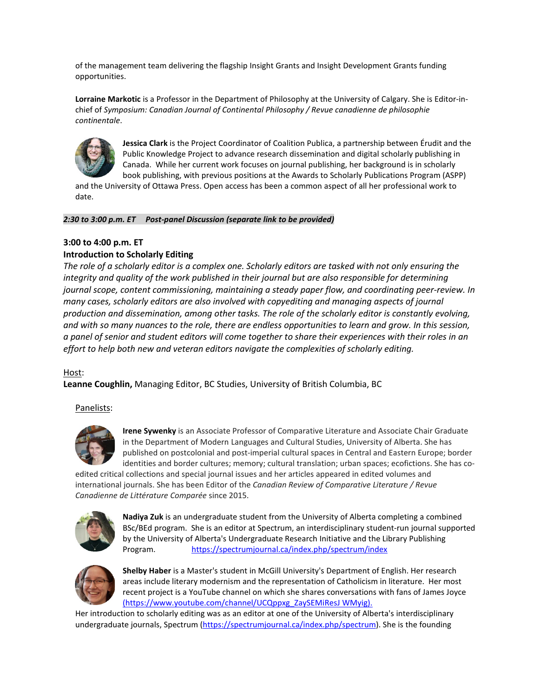of the management team delivering the flagship Insight Grants and Insight Development Grants funding opportunities.

**Lorraine Markotic** is a Professor in the Department of Philosophy at the University of Calgary. She is Editor-inchief of *Symposium: Canadian Journal of Continental Philosophy / Revue canadienne de philosophie continentale*.



**Jessica Clark** is the Project Coordinator of Coalition Publica, a partnership between Érudit and the Public Knowledge Project to advance research dissemination and digital scholarly publishing in Canada. While her current work focuses on journal publishing, her background is in scholarly book publishing, with previous positions at the Awards to Scholarly Publications Program (ASPP)

and the University of Ottawa Press. Open access has been a common aspect of all her professional work to date.

#### *2:30 to 3:00 p.m. ET Post-panel Discussion (separate link to be provided)*

## **3:00 to 4:00 p.m. ET**

### **Introduction to Scholarly Editing**

*The role of a scholarly editor is a complex one. Scholarly editors are tasked with not only ensuring the integrity and quality of the work published in their journal but are also responsible for determining journal scope, content commissioning, maintaining a steady paper flow, and coordinating peer-review. In many cases, scholarly editors are also involved with copyediting and managing aspects of journal production and dissemination, among other tasks. The role of the scholarly editor is constantly evolving, and with so many nuances to the role, there are endless opportunities to learn and grow. In this session, a panel of senior and student editors will come together to share their experiences with their roles in an effort to help both new and veteran editors navigate the complexities of scholarly editing.* 

#### Host:

**Leanne Coughlin,** Managing Editor, BC Studies, University of British Columbia, BC

#### Panelists:



**Irene Sywenky** is an Associate Professor of Comparative Literature and Associate Chair Graduate in the Department of Modern Languages and Cultural Studies, University of Alberta. She has published on postcolonial and post-imperial cultural spaces in Central and Eastern Europe; border identities and border cultures; memory; cultural translation; urban spaces; ecofictions. She has co-

edited critical collections and special journal issues and her articles appeared in edited volumes and international journals. She has been Editor of the *Canadian Review of Comparative Literature / Revue Canadienne de Littérature Comparée* since 2015.



**Nadiya Zuk** is an undergraduate student from the University of Alberta completing a combined BSc/BEd program. She is an editor at Spectrum, an interdisciplinary student-run journal supported by the University of Alberta's Undergraduate Research Initiative and the Library Publishing Program. <https://spectrumjournal.ca/index.php/spectrum/index>



**Shelby Haber** is a Master's student in McGill University's Department of English. Her research areas include literary modernism and the representation of Catholicism in literature. Her most recent project is a YouTube channel on which she shares conversations with fans of James Joyce (https://www.youtube.com/channel/UCQppxg\_ZaySEMiResJ WMyig).

Her introduction to scholarly editing was as an editor at one of the University of Alberta's interdisciplinary undergraduate journals, Spectrum [\(https://spectrumjournal.ca/index.php/spectrum\)](https://spectrumjournal.ca/index.php/spectrum). She is the founding